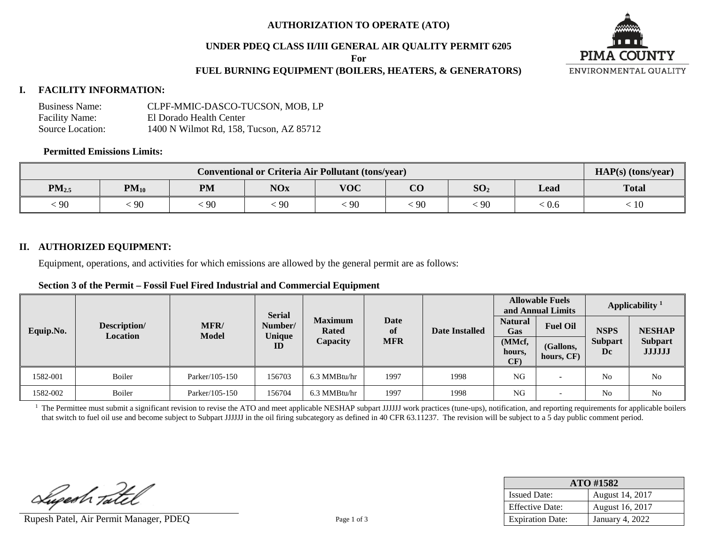### **AUTHORIZATION TO OPERATE (ATO)**

### **UNDER PDEQ CLASS II/III GENERAL AIR QUALITY PERMIT 6205**

**For** 

### **FUEL BURNING EQUIPMENT (BOILERS, HEATERS, & GENERATORS)**

### **I. FACILITY INFORMATION:**

| <b>Business Name:</b> | CLPF-MMIC-DASCO-TUCSON, MOB, LP         |
|-----------------------|-----------------------------------------|
| <b>Facility Name:</b> | El Dorado Health Center                 |
| Source Location:      | 1400 N Wilmot Rd. 158. Tucson. AZ 85712 |

#### **Permitted Emissions Limits:**

| <b>Conventional or Criteria Air Pollutant (tons/year)</b> |                                                                                                 |    |    |                 |    |    |                             | $HAP(s)$ (tons/year) |
|-----------------------------------------------------------|-------------------------------------------------------------------------------------------------|----|----|-----------------|----|----|-----------------------------|----------------------|
| $PM_{2.5}$                                                | $\alpha$<br><b>NOx</b><br><b>VOC</b><br>SO <sub>2</sub><br>$PM_{10}$<br><b>PM</b><br>Lead<br>UU |    |    |                 |    |    |                             | <b>Total</b>         |
| 90                                                        | 90                                                                                              | 90 | 90 | $\frac{1}{2}90$ | 90 | 90 | $\stackrel{<}{_{\sim}} 0.6$ | 10                   |

### **II. AUTHORIZED EQUIPMENT:**

Equipment, operations, and activities for which emissions are allowed by the general permit are as follows:

### **Section 3 of the Permit – Fossil Fuel Fired Industrial and Commercial Equipment**

|           |                                 |                      |                                                                      |              |                   |      | <b>Allowable Fuels</b><br>and Annual Limits |                         | Applicability <sup>1</sup> |                                 |
|-----------|---------------------------------|----------------------|----------------------------------------------------------------------|--------------|-------------------|------|---------------------------------------------|-------------------------|----------------------------|---------------------------------|
| Equip.No. | Description/<br><b>Location</b> | MFR/<br><b>Model</b> | <b>Serial</b><br><b>Maximum</b><br>Number/<br><b>Rated</b><br>Unique |              | <b>Date</b><br>of |      | <b>Natural</b><br>Gas                       | <b>Fuel Oil</b>         | <b>NSPS</b>                | <b>NESHAP</b>                   |
|           |                                 |                      | ID                                                                   | Capacity     | <b>MFR</b>        |      | (MMcf,<br>hours,<br>CF)                     | (Gallons,<br>hours, CF) | <b>Subpart</b><br>Dc       | <b>Subpart</b><br><b>JJJJJJ</b> |
| 1582-001  | Boiler                          | Parker/105-150       | 156703                                                               | 6.3 MMBtu/hr | 1997              | 1998 | NG                                          |                         | N <sub>o</sub>             | N <sub>o</sub>                  |
| 1582-002  | Boiler                          | Parker/105-150       | 156704                                                               | 6.3 MMBtu/hr | 1997              | 1998 | NG                                          |                         | N <sub>o</sub>             | N <sub>0</sub>                  |

<sup>1</sup> The Permittee must submit a significant revision to revise the ATO and meet applicable NESHAP subpart JJJJJJ work practices (tune-ups), notification, and reporting requirements for applicable boilers that switch to fuel oil use and become subject to Subpart JJJJJJ in the oil firing subcategory as defined in 40 CFR 63.11237. The revision will be subject to a 5 day public comment period.

Luperh Tatel

Rupesh Patel, Air Permit Manager, PDEQ Page 1 of 3

| ATO #1582               |                 |  |  |  |  |
|-------------------------|-----------------|--|--|--|--|
| <b>Issued Date:</b>     | August 14, 2017 |  |  |  |  |
| <b>Effective Date:</b>  | August 16, 2017 |  |  |  |  |
| <b>Expiration Date:</b> | January 4, 2022 |  |  |  |  |

**PIMA COUNTY** ENVIRONMENTAL QUALITY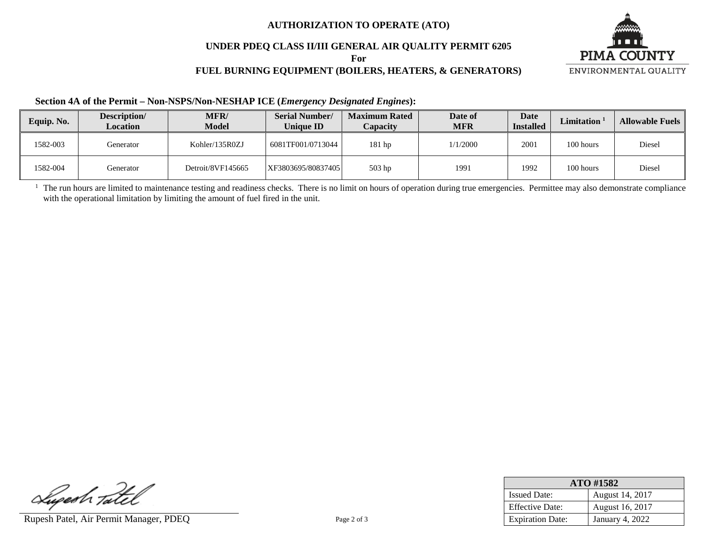### **AUTHORIZATION TO OPERATE (ATO)**

## **UNDER PDEQ CLASS II/III GENERAL AIR QUALITY PERMIT 6205**

**For** 

# **FUEL BURNING EQUIPMENT (BOILERS, HEATERS, & GENERATORS)**



### **Section 4A of the Permit – Non-NSPS/Non-NESHAP ICE (***Emergency Designated Engines***):**

| Equip. No. | Description/<br>Location | <b>MFR/</b><br><b>Model</b> | <b>Serial Number/</b><br>Unique ID | <b>Maximum Rated</b><br>Capacity | Date of<br><b>MFR</b> | Date<br><b>Installed</b> | <b>Limitation</b> | <b>Allowable Fuels</b> |
|------------|--------------------------|-----------------------------|------------------------------------|----------------------------------|-----------------------|--------------------------|-------------------|------------------------|
| 1582-003   | Generator                | Kohler/135R0ZJ              | 6081TF001/0713044                  | $181$ hp                         | 1/1/2000              | 2001                     | 100 hours         | Diesel                 |
| 1582-004   | Generator                | Detroit/8VF145665           | XF3803695/80837405                 | 503 hp                           | 1991                  | 1992                     | 100 hours         | Diesel                 |

<sup>1</sup> The run hours are limited to maintenance testing and readiness checks. There is no limit on hours of operation during true emergencies. Permittee may also demonstrate compliance with the operational limitation by limiting the amount of fuel fired in the unit.

Luperh Tatel

Rupesh Patel, Air Permit Manager, PDEQ Page 2 of 3

| ATO #1582               |                        |  |  |  |  |
|-------------------------|------------------------|--|--|--|--|
| <b>Issued Date:</b>     | August 14, 2017        |  |  |  |  |
| <b>Effective Date:</b>  | August 16, 2017        |  |  |  |  |
| <b>Expiration Date:</b> | <b>January 4, 2022</b> |  |  |  |  |